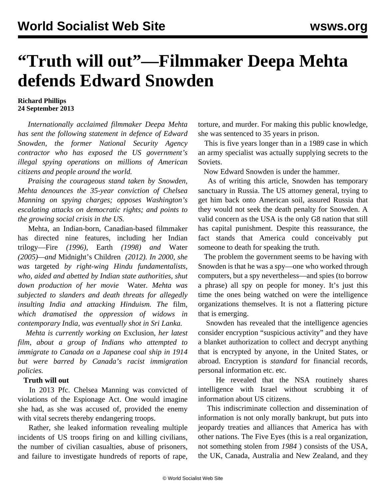## **"Truth will out"—Filmmaker Deepa Mehta defends Edward Snowden**

## **Richard Phillips 24 September 2013**

 *Internationally acclaimed filmmaker Deepa Mehta has sent the following statement in defence of Edward Snowden, the former National Security Agency contractor who has exposed the US government's illegal spying operations on millions of American citizens and people around the world.*

 *Praising the courageous stand taken by Snowden, Mehta denounces the 35-year conviction of Chelsea Manning on spying charges; opposes Washington's escalating attacks on democratic rights; and points to the growing social crisis in the US.*

 Mehta, an Indian-born, Canadian-based filmmaker has directed nine features, including her Indian trilogy—Fire *(1996),* Earth *(1998) and* Water *(2005)—and* Midnight's Children *(2012). In 2000, she was* [targeted](/en/articles/2000/02/meht-f28.html) *by right-wing Hindu fundamentalists, who, aided and abetted by Indian state authorities, shut down production of her movie* Water*. Mehta was subjected to slanders and death threats for allegedly insulting India and attacking Hinduism. The* [film](/en/articles/2006/05/deep-m15.html)*, which dramatised the oppression of widows in contemporary India, was eventually shot in Sri Lanka.* 

 *Mehta is currently working on* Exclusion*, her latest film, about a group of Indians who attempted to immigrate to Canada on a Japanese coal ship in 1914 but were barred by Canada's racist immigration policies.*

## **Truth will out**

 In 2013 Pfc. Chelsea Manning was convicted of violations of the Espionage Act. One would imagine she had, as she was accused of, provided the enemy with vital secrets thereby endangering troops.

 Rather, she leaked information revealing multiple incidents of US troops firing on and killing civilians, the number of civilian casualties, abuse of prisoners, and failure to investigate hundreds of reports of rape,

torture, and murder. For making this public knowledge, she was sentenced to 35 years in prison.

 This is five years longer than in a 1989 case in which an army specialist was actually supplying secrets to the Soviets.

Now Edward Snowden is under the hammer.

 As of writing this article, Snowden has temporary sanctuary in Russia. The US attorney general, trying to get him back onto American soil, assured Russia that they would not seek the death penalty for Snowden. A valid concern as the USA is the only G8 nation that still has capital punishment. Despite this reassurance, the fact stands that America could conceivably put someone to death for speaking the truth.

 The problem the government seems to be having with Snowden is that he was a spy—one who worked through computers, but a spy nevertheless—and spies (to borrow a phrase) all spy on people for money. It's just this time the ones being watched on were the intelligence organizations themselves. It is not a flattering picture that is emerging.

 Snowden has revealed that the intelligence agencies consider encryption "suspicious activity" and they have a blanket authorization to collect and decrypt anything that is encrypted by anyone, in the United States, or abroad. Encryption is *standard* for financial records, personal information etc. etc.

 He revealed that the NSA routinely shares intelligence with Israel without scrubbing it of information about US citizens.

 This indiscriminate collection and dissemination of information is not only morally bankrupt, but puts into jeopardy treaties and alliances that America has with other nations. The Five Eyes (this is a real organization, not something stolen from *1984* ) consists of the USA, the UK, Canada, Australia and New Zealand, and they